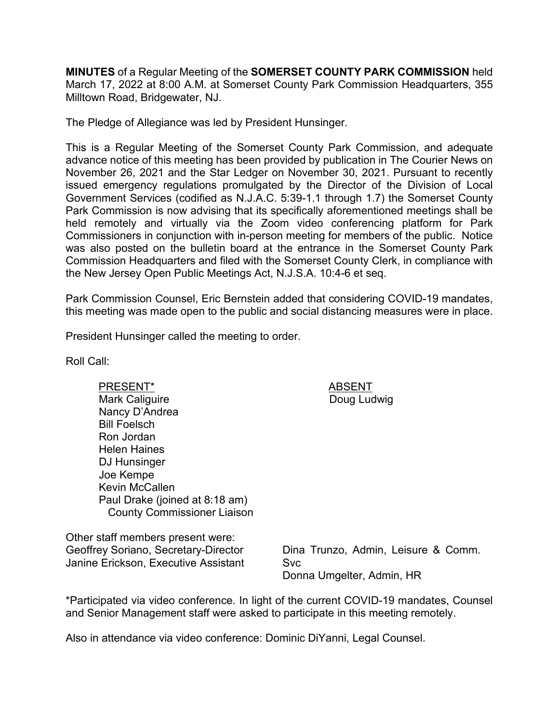**MINUTES** of a Regular Meeting of the **SOMERSET COUNTY PARK COMMISSION** held March 17, 2022 at 8:00 A.M. at Somerset County Park Commission Headquarters, 355 Milltown Road, Bridgewater, NJ.

The Pledge of Allegiance was led by President Hunsinger.

This is a Regular Meeting of the Somerset County Park Commission, and adequate advance notice of this meeting has been provided by publication in The Courier News on November 26, 2021 and the Star Ledger on November 30, 2021. Pursuant to recently issued emergency regulations promulgated by the Director of the Division of Local Government Services (codified as N.J.A.C. 5:39-1.1 through 1.7) the Somerset County Park Commission is now advising that its specifically aforementioned meetings shall be held remotely and virtually via the Zoom video conferencing platform for Park Commissioners in conjunction with in-person meeting for members of the public. Notice was also posted on the bulletin board at the entrance in the Somerset County Park Commission Headquarters and filed with the Somerset County Clerk, in compliance with the New Jersey Open Public Meetings Act, N.J.S.A. 10:4-6 et seq.

Park Commission Counsel, Eric Bernstein added that considering COVID-19 mandates, this meeting was made open to the public and social distancing measures were in place.

President Hunsinger called the meeting to order.

Roll Call:

PRESENT\* ABSENT Mark Caliguire Nancy D'Andrea Bill Foelsch Ron Jordan Helen Haines DJ Hunsinger Joe Kempe Kevin McCallen Paul Drake (joined at 8:18 am) County Commissioner Liaison

Other staff members present were: Geoffrey Soriano, Secretary-Director Janine Erickson, Executive Assistant

Dina Trunzo, Admin, Leisure & Comm. Svc Donna Umgelter, Admin, HR

\*Participated via video conference. In light of the current COVID-19 mandates, Counsel and Senior Management staff were asked to participate in this meeting remotely.

Also in attendance via video conference: Dominic DiYanni, Legal Counsel.

Doug Ludwig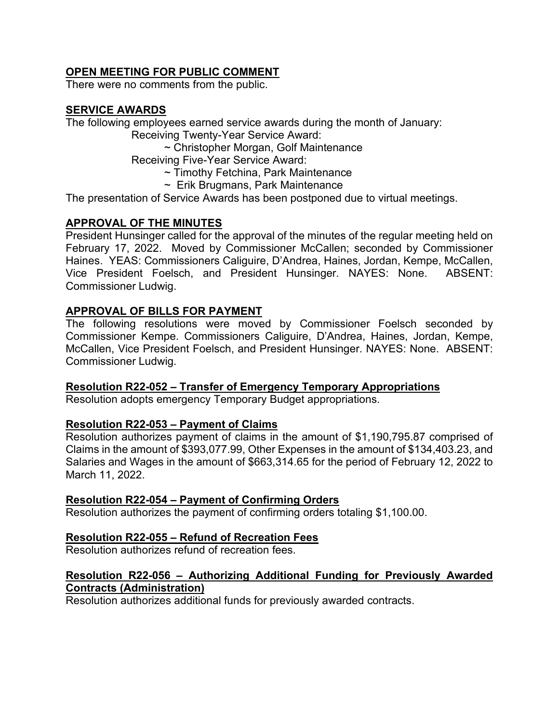# **OPEN MEETING FOR PUBLIC COMMENT**

There were no comments from the public.

# **SERVICE AWARDS**

The following employees earned service awards during the month of January:

Receiving Twenty-Year Service Award:

~ Christopher Morgan, Golf Maintenance

Receiving Five-Year Service Award:

- ~ Timothy Fetchina, Park Maintenance
- $\sim$  Erik Brugmans, Park Maintenance

The presentation of Service Awards has been postponed due to virtual meetings.

# **APPROVAL OF THE MINUTES**

President Hunsinger called for the approval of the minutes of the regular meeting held on February 17, 2022. Moved by Commissioner McCallen; seconded by Commissioner Haines. YEAS: Commissioners Caliguire, D'Andrea, Haines, Jordan, Kempe, McCallen, Vice President Foelsch, and President Hunsinger. NAYES: None. ABSENT: Commissioner Ludwig.

# **APPROVAL OF BILLS FOR PAYMENT**

The following resolutions were moved by Commissioner Foelsch seconded by Commissioner Kempe. Commissioners Caliguire, D'Andrea, Haines, Jordan, Kempe, McCallen, Vice President Foelsch, and President Hunsinger. NAYES: None. ABSENT: Commissioner Ludwig.

# **Resolution R22-052 – Transfer of Emergency Temporary Appropriations**

Resolution adopts emergency Temporary Budget appropriations.

# **Resolution R22-053 – Payment of Claims**

Resolution authorizes payment of claims in the amount of \$1,190,795.87 comprised of Claims in the amount of \$393,077.99, Other Expenses in the amount of \$134,403.23, and Salaries and Wages in the amount of \$663,314.65 for the period of February 12, 2022 to March 11, 2022.

### **Resolution R22-054 – Payment of Confirming Orders**

Resolution authorizes the payment of confirming orders totaling \$1,100.00.

# **Resolution R22-055 – Refund of Recreation Fees**

Resolution authorizes refund of recreation fees.

### **Resolution R22-056 – Authorizing Additional Funding for Previously Awarded Contracts (Administration)**

Resolution authorizes additional funds for previously awarded contracts.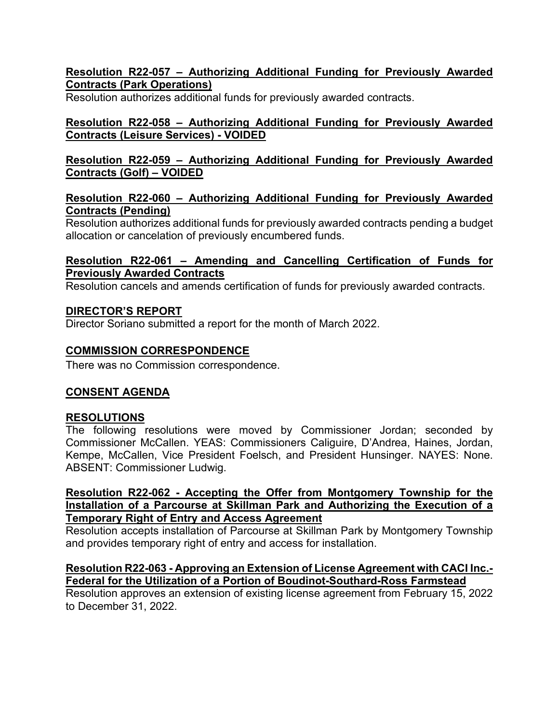### **Resolution R22-057 – Authorizing Additional Funding for Previously Awarded Contracts (Park Operations)**

Resolution authorizes additional funds for previously awarded contracts.

# **Resolution R22-058 – Authorizing Additional Funding for Previously Awarded Contracts (Leisure Services) - VOIDED**

### **Resolution R22-059 – Authorizing Additional Funding for Previously Awarded Contracts (Golf) – VOIDED**

# **Resolution R22-060 – Authorizing Additional Funding for Previously Awarded Contracts (Pending)**

Resolution authorizes additional funds for previously awarded contracts pending a budget allocation or cancelation of previously encumbered funds.

### **Resolution R22-061 – Amending and Cancelling Certification of Funds for Previously Awarded Contracts**

Resolution cancels and amends certification of funds for previously awarded contracts.

# **DIRECTOR'S REPORT**

Director Soriano submitted a report for the month of March 2022.

# **COMMISSION CORRESPONDENCE**

There was no Commission correspondence.

# **CONSENT AGENDA**

# **RESOLUTIONS**

The following resolutions were moved by Commissioner Jordan; seconded by Commissioner McCallen. YEAS: Commissioners Caliguire, D'Andrea, Haines, Jordan, Kempe, McCallen, Vice President Foelsch, and President Hunsinger. NAYES: None. ABSENT: Commissioner Ludwig.

### **Resolution R22-062 - Accepting the Offer from Montgomery Township for the Installation of a Parcourse at Skillman Park and Authorizing the Execution of a Temporary Right of Entry and Access Agreement**

Resolution accepts installation of Parcourse at Skillman Park by Montgomery Township and provides temporary right of entry and access for installation.

### **Resolution R22-063 - Approving an Extension of License Agreement with CACI Inc.- Federal for the Utilization of a Portion of Boudinot-Southard-Ross Farmstead**

Resolution approves an extension of existing license agreement from February 15, 2022 to December 31, 2022.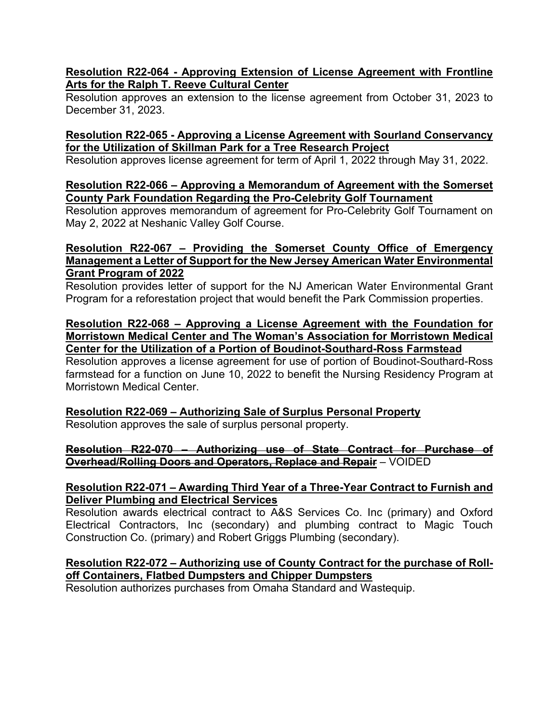### **Resolution R22-064 - Approving Extension of License Agreement with Frontline Arts for the Ralph T. Reeve Cultural Center**

Resolution approves an extension to the license agreement from October 31, 2023 to December 31, 2023.

### **Resolution R22-065 - Approving a License Agreement with Sourland Conservancy for the Utilization of Skillman Park for a Tree Research Project**

Resolution approves license agreement for term of April 1, 2022 through May 31, 2022.

#### **Resolution R22-066 – Approving a Memorandum of Agreement with the Somerset County Park Foundation Regarding the Pro-Celebrity Golf Tournament**

Resolution approves memorandum of agreement for Pro-Celebrity Golf Tournament on May 2, 2022 at Neshanic Valley Golf Course.

#### **Resolution R22-067 – Providing the Somerset County Office of Emergency Management a Letter of Support for the New Jersey American Water Environmental Grant Program of 2022**

Resolution provides letter of support for the NJ American Water Environmental Grant Program for a reforestation project that would benefit the Park Commission properties.

#### **Resolution R22-068 – Approving a License Agreement with the Foundation for Morristown Medical Center and The Woman's Association for Morristown Medical Center for the Utilization of a Portion of Boudinot-Southard-Ross Farmstead**

Resolution approves a license agreement for use of portion of Boudinot-Southard-Ross farmstead for a function on June 10, 2022 to benefit the Nursing Residency Program at Morristown Medical Center.

### **Resolution R22-069 – Authorizing Sale of Surplus Personal Property**

Resolution approves the sale of surplus personal property.

### **Resolution R22-070 – Authorizing use of State Contract for Purchase of Overhead/Rolling Doors and Operators, Replace and Repair** – VOIDED

### **Resolution R22-071 – Awarding Third Year of a Three-Year Contract to Furnish and Deliver Plumbing and Electrical Services**

Resolution awards electrical contract to A&S Services Co. Inc (primary) and Oxford Electrical Contractors, Inc (secondary) and plumbing contract to Magic Touch Construction Co. (primary) and Robert Griggs Plumbing (secondary).

### **Resolution R22-072 – Authorizing use of County Contract for the purchase of Rolloff Containers, Flatbed Dumpsters and Chipper Dumpsters**

Resolution authorizes purchases from Omaha Standard and Wastequip.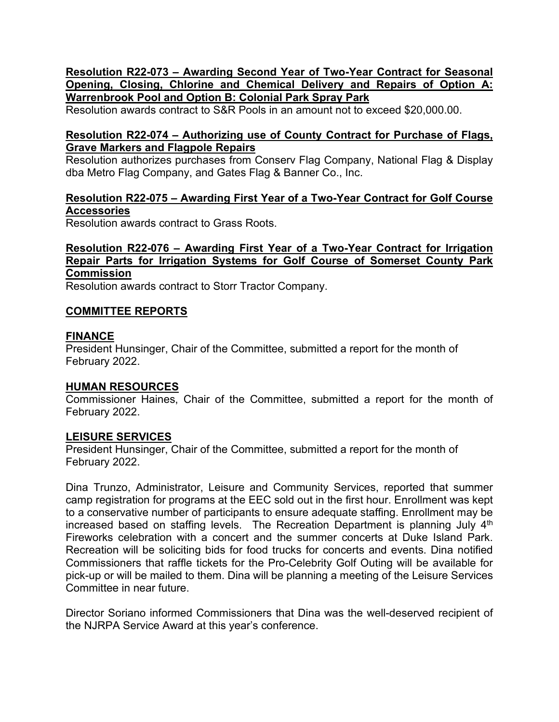### **Resolution R22-073 – Awarding Second Year of Two-Year Contract for Seasonal Opening, Closing, Chlorine and Chemical Delivery and Repairs of Option A: Warrenbrook Pool and Option B: Colonial Park Spray Park**

Resolution awards contract to S&R Pools in an amount not to exceed \$20,000.00.

### **Resolution R22-074 – Authorizing use of County Contract for Purchase of Flags, Grave Markers and Flagpole Repairs**

Resolution authorizes purchases from Conserv Flag Company, National Flag & Display dba Metro Flag Company, and Gates Flag & Banner Co., Inc.

### **Resolution R22-075 – Awarding First Year of a Two-Year Contract for Golf Course Accessories**

Resolution awards contract to Grass Roots.

### **Resolution R22-076 – Awarding First Year of a Two-Year Contract for Irrigation Repair Parts for Irrigation Systems for Golf Course of Somerset County Park Commission**

Resolution awards contract to Storr Tractor Company.

### **COMMITTEE REPORTS**

### **FINANCE**

President Hunsinger, Chair of the Committee, submitted a report for the month of February 2022.

# **HUMAN RESOURCES**

Commissioner Haines, Chair of the Committee, submitted a report for the month of February 2022.

# **LEISURE SERVICES**

President Hunsinger, Chair of the Committee, submitted a report for the month of February 2022.

Dina Trunzo, Administrator, Leisure and Community Services, reported that summer camp registration for programs at the EEC sold out in the first hour. Enrollment was kept to a conservative number of participants to ensure adequate staffing. Enrollment may be increased based on staffing levels. The Recreation Department is planning July 4<sup>th</sup> Fireworks celebration with a concert and the summer concerts at Duke Island Park. Recreation will be soliciting bids for food trucks for concerts and events. Dina notified Commissioners that raffle tickets for the Pro-Celebrity Golf Outing will be available for pick-up or will be mailed to them. Dina will be planning a meeting of the Leisure Services Committee in near future.

Director Soriano informed Commissioners that Dina was the well-deserved recipient of the NJRPA Service Award at this year's conference.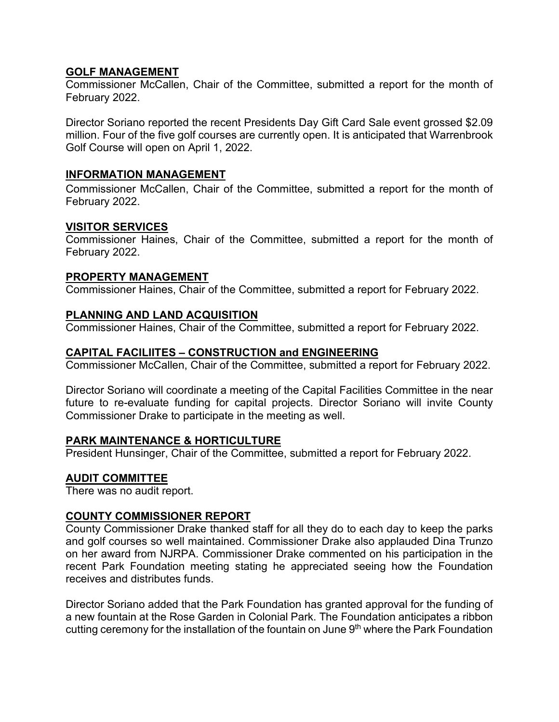### **GOLF MANAGEMENT**

Commissioner McCallen, Chair of the Committee, submitted a report for the month of February 2022.

Director Soriano reported the recent Presidents Day Gift Card Sale event grossed \$2.09 million. Four of the five golf courses are currently open. It is anticipated that Warrenbrook Golf Course will open on April 1, 2022.

### **INFORMATION MANAGEMENT**

Commissioner McCallen, Chair of the Committee, submitted a report for the month of February 2022.

### **VISITOR SERVICES**

Commissioner Haines, Chair of the Committee, submitted a report for the month of February 2022.

### **PROPERTY MANAGEMENT**

Commissioner Haines, Chair of the Committee, submitted a report for February 2022.

### **PLANNING AND LAND ACQUISITION**

Commissioner Haines, Chair of the Committee, submitted a report for February 2022.

### **CAPITAL FACILIITES – CONSTRUCTION and ENGINEERING**

Commissioner McCallen, Chair of the Committee, submitted a report for February 2022.

Director Soriano will coordinate a meeting of the Capital Facilities Committee in the near future to re-evaluate funding for capital projects. Director Soriano will invite County Commissioner Drake to participate in the meeting as well.

### **PARK MAINTENANCE & HORTICULTURE**

President Hunsinger, Chair of the Committee, submitted a report for February 2022.

### **AUDIT COMMITTEE**

There was no audit report.

### **COUNTY COMMISSIONER REPORT**

County Commissioner Drake thanked staff for all they do to each day to keep the parks and golf courses so well maintained. Commissioner Drake also applauded Dina Trunzo on her award from NJRPA. Commissioner Drake commented on his participation in the recent Park Foundation meeting stating he appreciated seeing how the Foundation receives and distributes funds.

Director Soriano added that the Park Foundation has granted approval for the funding of a new fountain at the Rose Garden in Colonial Park. The Foundation anticipates a ribbon cutting ceremony for the installation of the fountain on June 9<sup>th</sup> where the Park Foundation